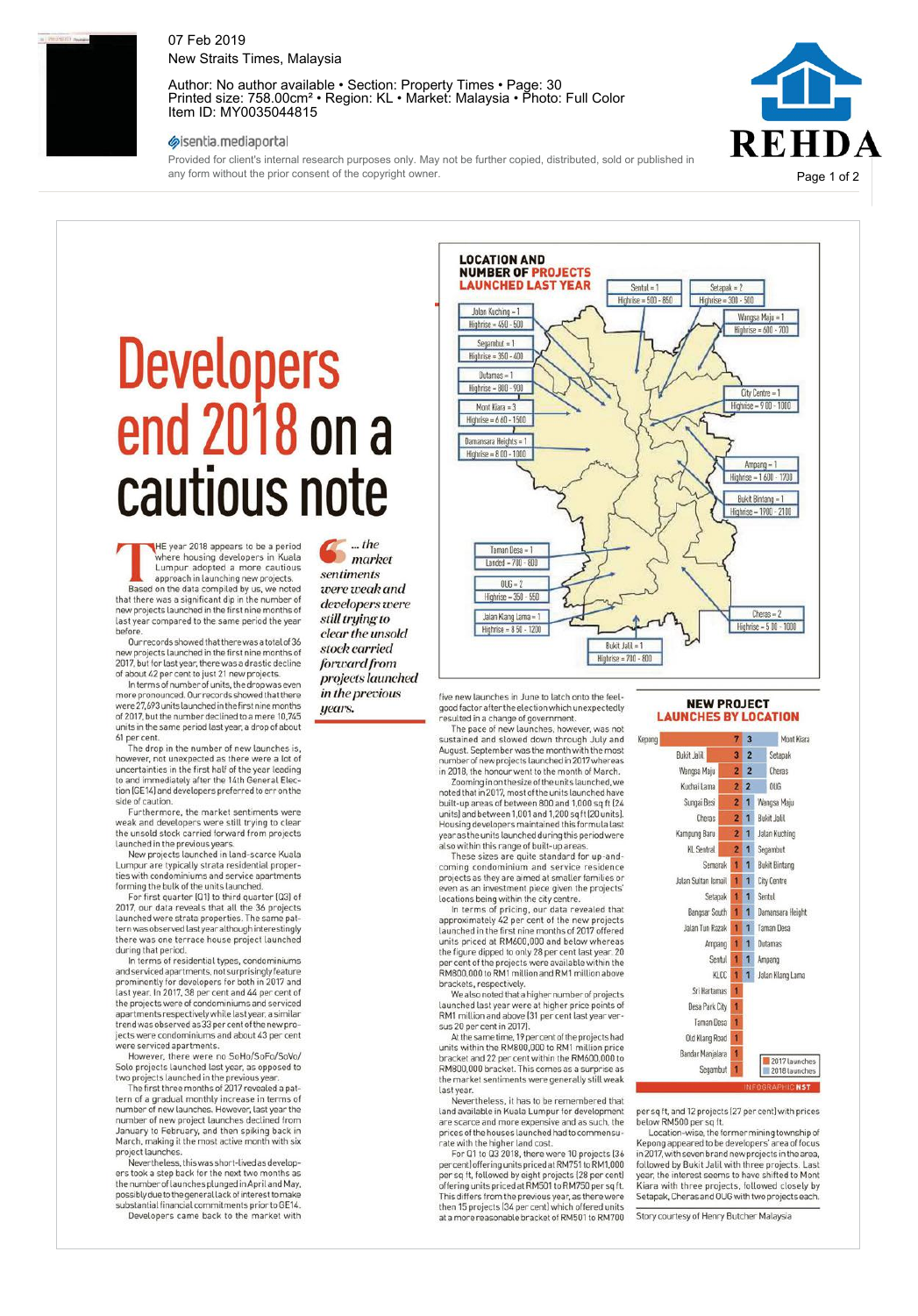

# 07 Feb 2019 New Straits Times, Malaysia

Author: No author available • Section: Property Times • Page: 30 Printed size: 758.00cm² • Region: KL • Market: Malaysia • Photo: Full Color Item ID: MY0035044815

### sisentia.mediaportal

Provided for client's internal research purposes only. May not be further copied, distributed, sold or published in any form without the prior consent of the copyright owner.



# **Developers** end2018ona cautious note

**THE year 2018 appears to be a period**<br>
Lumpur adopted a more cautious<br>
approach in launching new projects.<br>
Based on the data compiled by us, we noted HE year 2018 appears to be a period where housing developers in Kuala Lumpur adopted a more cautious

that there was a significant dip in the number of new projects launched in the first nine months of last year compared to the same period the year

before. Our recordsshowed that therewasatotalof36 new projects launched in the first nine months of 2017, butfor last year,there was a drastic decline

of about <sup>42</sup> per cent to just 21 new projects. Interms of number of units, thedropwas even more pronounced. Our records showed that there were 27,693 units launched in the first nine months of 2017, but the number declined to a mere 10,745 units in the same period last year, a drop of about <sup>61</sup> per cent.

The drop in the number of new launches is, however, not unexpected as there werealot of uncertainties in the first half of the year leading to and immediately after the 14th General Election (GE14) and developers preferred to err on the

side of caution. Furthermore, the market sentiments were weak and developers were still trying to clear the unsold stock carried forward from projects launched in the previous years. New projects launched in land-scarce Kuala

Lumpur are typically strata residential properties with condominiums and service apartments forming the bulk of the units launched.

For first quarter (Q1) to third quarter (Q3) of 2017, our data reveals that all the 36 projects launched were strata properties. The same patternwasobservedlastyearalthoughinterestingly there was one terrace house project launched during that period. In terms of residential types, condominiums

andserviced apartments,notsurprisingly feature prominently for developers for both in 2017 and last year. In 2017, <sup>38</sup> per cent and <sup>44</sup> per cent of the projects were of condominiums and serviced apartmentsrespectivelywhilelast year,asimilar trendwasobservedas33percent of thenew pro-jects were condominiums and about 43 per cent were serviced apartments.

However, there were no SoHo/SoFo/SoVo/ Solo projects launched last year, as opposed to two projects launched in the previous year. The first three months of 2017 revealed a pat-

tern of a gradual monthly increase in terms of number of new launches. However, last year the number of new project launches declined from January to February, and then spiking back in March, making it the most active month with six

project launches. Nevertheless, thiswasshort-livedasdevelopers took a step back for the next two months as<br>the number of launches plunged in April and May, possibly due to the general lack of interest to make substantial financial commitments prior to GE14.

Developers came back to the market with

*… the market sentiments were weak and developers were still trying to clear the unsold stock carried forward from projects launched in the previous years.*

LOCATION AND NUMBER OF PROJECTS **LAST YEAR** Sentul = 1 Setapak = 2 Highrise = 500- 850 Highrise = 300- 500 Jalan Kuching = 1 Wangsa Maju = 1 Highrise = 450- 500 Highrise = 600- 700 Segambut = 1 Highrise = 350- 400 Dutamas = 1 Highrise = 800- 900 City Centre = 1 Highrise =900-1000 Mont Kiara = 3 Highrise =660-1500 Damansara Heights = 1 Highrise = 800 - 1000 Ampang = 1 Highrise =1600- 1700 Bukit Bintang = 1 Highrise = 1900- 2100 Taman Desa = 1 Landed = 700- 800  $006 = 2$ Highrise = 350- 550 ź Cheras = Jalan KlangLama = 1 Highrise =500-1000 Highrise =850-1200 Bukit Jalil = 1 Highrise = 700- 800

five new launches in June to latch onto the feelgood factor after the election which unexpectedly resulted in a change of government. The pace of new launches, however, was not

sustained and slowed down through July and August. September was the month with the most number of new projects launched in 2017 whereas in 2018, the honour went to the month of March. Zoominginon thesizeof theunitslaunched,we

noted thatin 2017,most of theunitslaunchedhave built-up areas of between 800 and 1,000 sq ft (24 units) andbetween 1,001and 1,200sqft(20 units). Housing developers maintained this formula last year as the units launched during this period were also within this range of built-up areas. These sizes are quite standard for up-and-

coming condominium and service residence projects as they are aimed at smaller families or even as an investment piece given the projects' locations being within the city centre.

In terms of pricing, our data revealed that approximately <sup>42</sup> per cent of the new projects launched in the first nine months of 2017 offered units priced at RM600,000 and below whereas the figure dipped to only <sup>28</sup> per cent last year. <sup>20</sup> per cent of the projects were available within the RM800,000toRM1millionandRM1million above brackets, respectively.

Wealsonoted thatahighernumber of projects launched last year were at higher price points of RM1 million and above (31 per cent last year versus <sup>20</sup> per cent in 2017).

At the same time, 19 per cent of the projects had units within the RM800,000 to RM1 million price bracket and <sup>22</sup> per cent within the RM600,000 to RM800,000 bracket. This comes as a surprise as the market sentiments were generally still weak last year.

Nevertheless, it has to be remembered that land available in Kuala Lumpur for development are scarce and more expensive and as such, the prices of thehouseslaunched hadtocommensurate with the higher land cost. For Q1 to Q3 2018, there were 10 projects (36

per cent) offering units priced at RM751 to RM1,000<br>per sq ft, followed by eight projects (28 per cent)<br>offering units priced at RM501 to RM750 per sq ft. This differs from the previous year, as therewere then <sup>15</sup> projects (34 per cent) which offered units at a more reasonable bracket of RM501 to RM700

#### NEW PROJECT LAUNCHES BY LOCATION



per sq ft, and 12 projects (27 per cent) with prices below RM500 per sq ft. Location-wise,the formermining township of

Kepong appeared to be developers' area of focus in2017,withsevenbrandnewprojectsin thearea, followed by Bukit Jalil with three projects. Last ar, the interest seems to have shifted to Mont Kiara with three projects, followed closely by Setapak,CherasandOUGwithtwoprojects each.

Story courtesy of Henry Butcher Malaysia